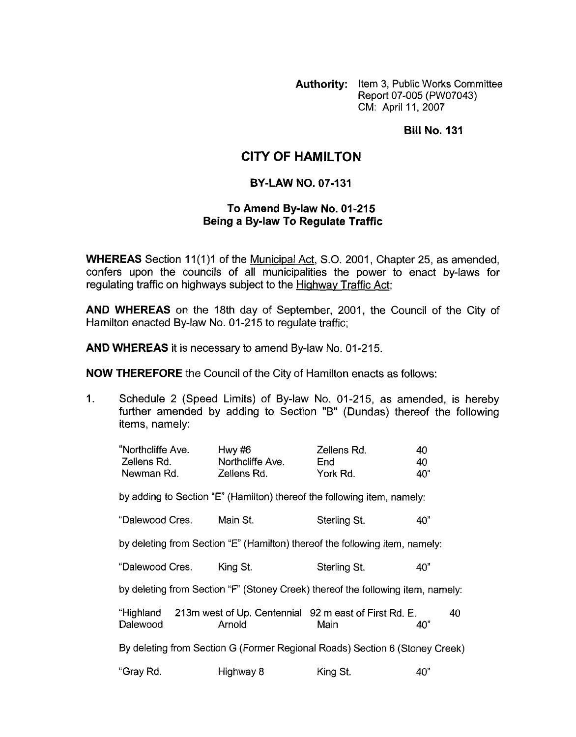**Authority:** Item 3, Public Works Committee Report 07-005 (PW07043) CM: April 11, 2007

**Bill No. 131** 

## **CITY OF HAMILTON**

## **BY-LAW NO. 07-131**

## **To Amend By-law No. 01-215 Being a By-law To Regulate Traffic**

**WHEREAS** Section 11(1)1 of the Municipal Act, S.O. 2001, Chapter 25, as amended, confers upon the councils of all municipalities the power to enact by-laws for regulating traffic on highways subject to the Hiqhway Traffic Act;

**AND WHEREAS** on the 18th day of September, 2001, the Council of the City of Hamilton enacted By-law No. 01-215 to regulate traffic;

**AND WHEREAS** it is necessary to amend By-law No. 01-215.

**NOW THEREFORE** the Council of the City of Hamilton enacts as follows:

1. Schedule 2 (Speed Limits) of By-law No. 01-215, as amended, is hereby further amended by adding to Section "B" (Dundas) thereof the following items, namely:

| "Northcliffe Ave.<br>Zellens Rd.                                                | Hwy $#6$<br>Northcliffe Ave. | Zellens Rd.<br>End                                                      | 40<br>40  |  |  |  |
|---------------------------------------------------------------------------------|------------------------------|-------------------------------------------------------------------------|-----------|--|--|--|
| Newman Rd.                                                                      | Zellens Rd.                  | York Rd.                                                                | 40"       |  |  |  |
| by adding to Section "E" (Hamilton) thereof the following item, namely:         |                              |                                                                         |           |  |  |  |
| "Dalewood Cres.                                                                 | Main St.                     | Sterling St.                                                            | 40"       |  |  |  |
| by deleting from Section "E" (Hamilton) thereof the following item, namely:     |                              |                                                                         |           |  |  |  |
| "Dalewood Cres.                                                                 | King St.                     | Sterling St.                                                            | 40"       |  |  |  |
| by deleting from Section "F" (Stoney Creek) thereof the following item, namely: |                              |                                                                         |           |  |  |  |
| Dalewood                                                                        | Arnold                       | "Highland 213m west of Up. Centennial 92 m east of First Rd. E.<br>Main | 40<br>40" |  |  |  |
| By deleting from Section G (Former Regional Roads) Section 6 (Stoney Creek)     |                              |                                                                         |           |  |  |  |
| "Gray Rd.                                                                       | Highway 8                    | King St.                                                                | 40"       |  |  |  |